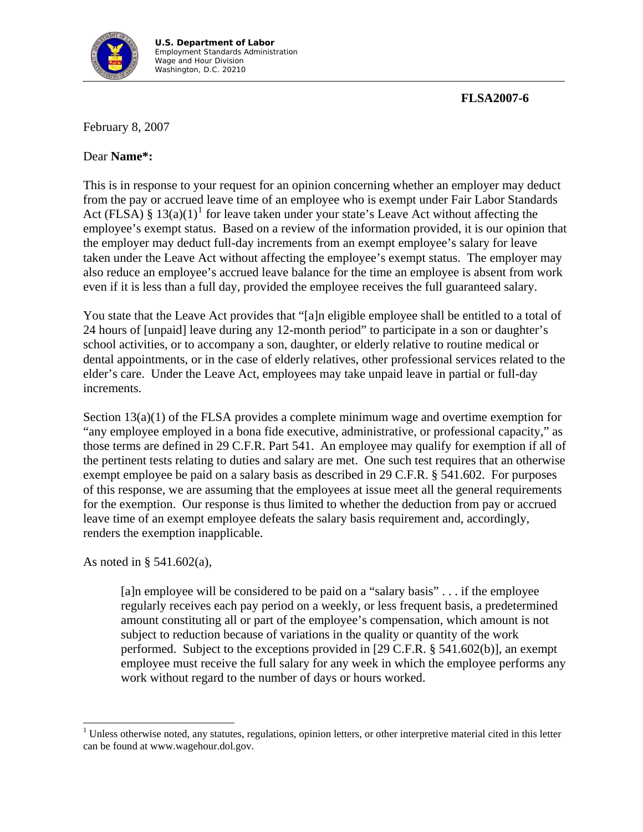

## **FLSA2007-6**

February 8, 2007

## Dear **Name\*:**

This is in response to your request for an opinion concerning whether an employer may deduct from the pay or accrued leave time of an employee who is exempt under Fair Labor Standards Act (FLSA) §  $13(a)(1)^{1}$  $13(a)(1)^{1}$  for leave taken under your state's Leave Act without affecting the employee's exempt status. Based on a review of the information provided, it is our opinion that the employer may deduct full-day increments from an exempt employee's salary for leave taken under the Leave Act without affecting the employee's exempt status. The employer may also reduce an employee's accrued leave balance for the time an employee is absent from work even if it is less than a full day, provided the employee receives the full guaranteed salary.

You state that the Leave Act provides that "[a]n eligible employee shall be entitled to a total of 24 hours of [unpaid] leave during any 12-month period" to participate in a son or daughter's school activities, or to accompany a son, daughter, or elderly relative to routine medical or dental appointments, or in the case of elderly relatives, other professional services related to the elder's care. Under the Leave Act, employees may take unpaid leave in partial or full-day increments.

Section 13(a)(1) of the FLSA provides a complete minimum wage and overtime exemption for "any employee employed in a bona fide executive, administrative, or professional capacity," as those terms are defined in 29 C.F.R. Part 541. An employee may qualify for exemption if all of the pertinent tests relating to duties and salary are met. One such test requires that an otherwise exempt employee be paid on a salary basis as described in 29 C.F.R. § 541.602. For purposes of this response, we are assuming that the employees at issue meet all the general requirements for the exemption. Our response is thus limited to whether the deduction from pay or accrued leave time of an exempt employee defeats the salary basis requirement and, accordingly, renders the exemption inapplicable.

As noted in § 541.602(a),

 $\overline{\phantom{a}}$ 

[a]n employee will be considered to be paid on a "salary basis" . . . if the employee regularly receives each pay period on a weekly, or less frequent basis, a predetermined amount constituting all or part of the employee's compensation, which amount is not subject to reduction because of variations in the quality or quantity of the work performed. Subject to the exceptions provided in [29 C.F.R. § 541.602(b)], an exempt employee must receive the full salary for any week in which the employee performs any work without regard to the number of days or hours worked.

<span id="page-0-0"></span> $1$  Unless otherwise noted, any statutes, regulations, opinion letters, or other interpretive material cited in this letter can be found at www.wagehour.dol.gov.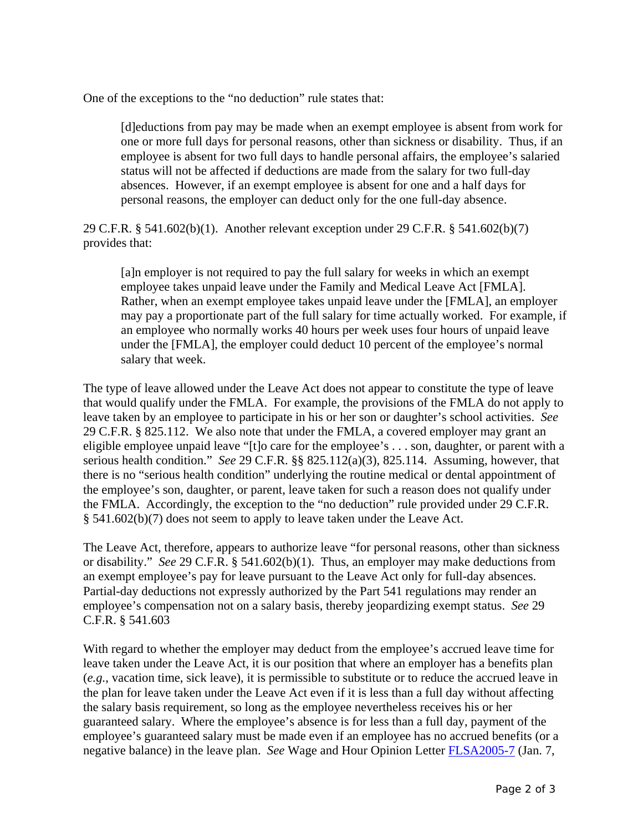One of the exceptions to the "no deduction" rule states that:

[d]eductions from pay may be made when an exempt employee is absent from work for one or more full days for personal reasons, other than sickness or disability. Thus, if an employee is absent for two full days to handle personal affairs, the employee's salaried status will not be affected if deductions are made from the salary for two full-day absences. However, if an exempt employee is absent for one and a half days for personal reasons, the employer can deduct only for the one full-day absence.

29 C.F.R. § 541.602(b)(1). Another relevant exception under 29 C.F.R. § 541.602(b)(7) provides that:

[a]n employer is not required to pay the full salary for weeks in which an exempt employee takes unpaid leave under the Family and Medical Leave Act [FMLA]. Rather, when an exempt employee takes unpaid leave under the [FMLA], an employer may pay a proportionate part of the full salary for time actually worked. For example, if an employee who normally works 40 hours per week uses four hours of unpaid leave under the [FMLA], the employer could deduct 10 percent of the employee's normal salary that week.

The type of leave allowed under the Leave Act does not appear to constitute the type of leave that would qualify under the FMLA. For example, the provisions of the FMLA do not apply to leave taken by an employee to participate in his or her son or daughter's school activities. *See* 29 C.F.R. § 825.112. We also note that under the FMLA, a covered employer may grant an eligible employee unpaid leave "[t]o care for the employee's . . . son, daughter, or parent with a serious health condition." *See* 29 C.F.R. §§ 825.112(a)(3), 825.114. Assuming, however, that there is no "serious health condition" underlying the routine medical or dental appointment of the employee's son, daughter, or parent, leave taken for such a reason does not qualify under the FMLA. Accordingly, the exception to the "no deduction" rule provided under 29 C.F.R. § 541.602(b)(7) does not seem to apply to leave taken under the Leave Act.

The Leave Act, therefore, appears to authorize leave "for personal reasons, other than sickness or disability." *See* 29 C.F.R. § 541.602(b)(1). Thus, an employer may make deductions from an exempt employee's pay for leave pursuant to the Leave Act only for full-day absences. Partial-day deductions not expressly authorized by the Part 541 regulations may render an employee's compensation not on a salary basis, thereby jeopardizing exempt status. *See* 29 C.F.R. § 541.603

With regard to whether the employer may deduct from the employee's accrued leave time for leave taken under the Leave Act, it is our position that where an employer has a benefits plan (*e.g.*, vacation time, sick leave), it is permissible to substitute or to reduce the accrued leave in the plan for leave taken under the Leave Act even if it is less than a full day without affecting the salary basis requirement, so long as the employee nevertheless receives his or her guaranteed salary. Where the employee's absence is for less than a full day, payment of the employee's guaranteed salary must be made even if an employee has no accrued benefits (or a negative balance) in the leave plan. *See* Wage and Hour Opinion Letter [FLSA2005-7](http://www.dol.gov/whd/opinion/FLSA/2005/2005_01_07_7_FLSA_PaidTimeOff.pdf) (Jan. 7,